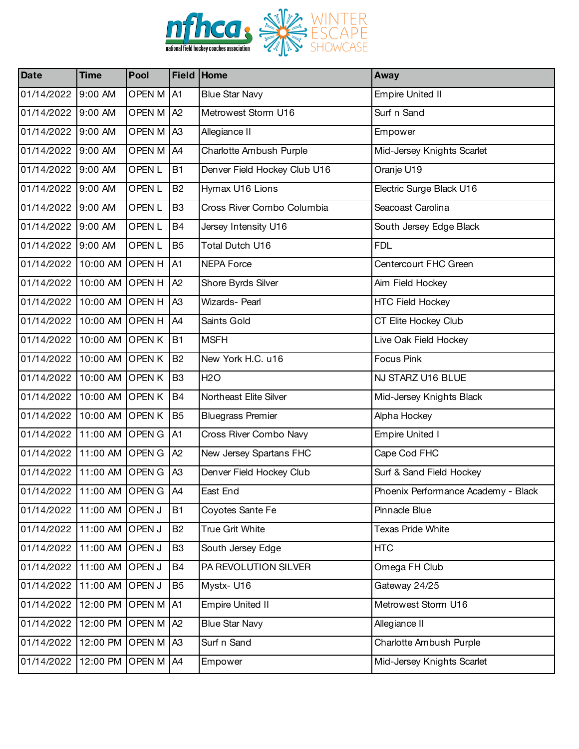

| <b>Date</b>                   | <b>Time</b>        | Pool              |                | Field Home                   | Away                                |
|-------------------------------|--------------------|-------------------|----------------|------------------------------|-------------------------------------|
| 01/14/2022                    | 9:00 AM            | <b>OPEN M</b>     | A1             | <b>Blue Star Navy</b>        | <b>Empire United II</b>             |
| 01/14/2022                    | 9:00 AM            | OPEN M            | A2             | Metrowest Storm U16          | Surf n Sand                         |
| 01/14/2022                    | 9:00 AM            | OPEN M            | A <sub>3</sub> | Allegiance II                | Empower                             |
| 01/14/2022                    | 9:00 AM            | OPEN M            | A4             | Charlotte Ambush Purple      | Mid-Jersey Knights Scarlet          |
| 01/14/2022                    | 9:00 AM            | OPEN <sub>L</sub> | <b>B1</b>      | Denver Field Hockey Club U16 | Oranje U19                          |
| 01/14/2022                    | 9:00 AM            | OPEN <sub>L</sub> | <b>B2</b>      | Hymax U16 Lions              | Electric Surge Black U16            |
| 01/14/2022                    | 9:00 AM            | OPEN <sub>L</sub> | B <sub>3</sub> | Cross River Combo Columbia   | Seacoast Carolina                   |
| 01/14/2022                    | 9:00 AM            | OPEN <sub>L</sub> | <b>B4</b>      | Jersey Intensity U16         | South Jersey Edge Black             |
| 01/14/2022                    | 9:00 AM            | OPEN <sub>L</sub> | B <sub>5</sub> | Total Dutch U16              | <b>FDL</b>                          |
| 01/14/2022                    | 10:00 AM           | <b>OPEN H</b>     | A1             | <b>NEPA Force</b>            | Centercourt FHC Green               |
| 01/14/2022                    | 10:00 AM OPEN H    |                   | A2             | Shore Byrds Silver           | Aim Field Hockey                    |
| 01/14/2022                    | 10:00 AM OPEN H    |                   | A <sub>3</sub> | <b>Wizards-Pearl</b>         | <b>HTC Field Hockey</b>             |
| 01/14/2022                    | 10:00 AM OPEN H    |                   | A4             | Saints Gold                  | CT Elite Hockey Club                |
| 01/14/2022                    | 10:00 AM OPEN K    |                   | <b>B1</b>      | <b>MSFH</b>                  | Live Oak Field Hockey               |
| 01/14/2022                    | 10:00 AM OPEN K    |                   | <b>B2</b>      | New York H.C. u16            | Focus Pink                          |
| 01/14/2022                    | 10:00 AM OPEN K    |                   | B <sub>3</sub> | <b>H2O</b>                   | NJ STARZ U16 BLUE                   |
| 01/14/2022                    | 10:00 AM OPEN K    |                   | <b>B4</b>      | Northeast Elite Silver       | Mid-Jersey Knights Black            |
| 01/14/2022                    | 10:00 AM OPEN K    |                   | B <sub>5</sub> | <b>Bluegrass Premier</b>     | Alpha Hockey                        |
| 01/14/2022                    | 11:00 AM OPEN G    |                   | A1             | Cross River Combo Navy       | <b>Empire United I</b>              |
| 01/14/2022                    | 11:00 AM OPEN G    |                   | A2             | New Jersey Spartans FHC      | Cape Cod FHC                        |
| 01/14/2022                    | 11:00 AM OPEN G    |                   | A <sub>3</sub> | Denver Field Hockey Club     | Surf & Sand Field Hockey            |
| 01/14/2022 11:00 AM OPEN G A4 |                    |                   |                | East End                     | Phoenix Performance Academy - Black |
| 01/14/2022                    | 11:00 AM OPEN J    |                   | <b>B1</b>      | Coyotes Sante Fe             | Pinnacle Blue                       |
| 01/14/2022                    | 11:00 AM OPEN J    |                   | <b>B2</b>      | True Grit White              | Texas Pride White                   |
| 01/14/2022                    | 11:00 AM           | <b>OPEN J</b>     | B <sub>3</sub> | South Jersey Edge            | <b>HTC</b>                          |
| 01/14/2022                    | 11:00 AM OPEN J    |                   | B <sub>4</sub> | PA REVOLUTION SILVER         | Omega FH Club                       |
| 01/14/2022                    | 11:00 AM OPEN J    |                   | B <sub>5</sub> | Mystx-U16                    | Gateway 24/25                       |
| 01/14/2022                    | 12:00 PM           | <b>OPEN M</b>     | A <sub>1</sub> | <b>Empire United II</b>      | Metrowest Storm U16                 |
| 01/14/2022                    | 12:00 PM           | <b>OPEN M</b>     | A2             | <b>Blue Star Navy</b>        | Allegiance II                       |
| 01/14/2022                    | 12:00 PM OPEN M A3 |                   |                | Surf n Sand                  | Charlotte Ambush Purple             |
| 01/14/2022                    | 12:00 PM           | <b>OPEN M</b>     | A4             | Empower                      | Mid-Jersey Knights Scarlet          |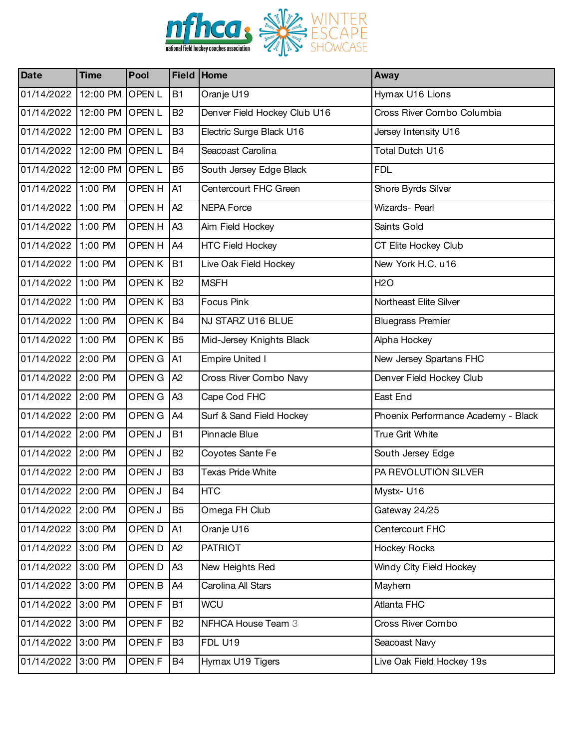

| <b>Date</b>        | <b>Time</b>     | Pool              |                | Field Home                   | Away                                |
|--------------------|-----------------|-------------------|----------------|------------------------------|-------------------------------------|
| 01/14/2022         | 12:00 PM        | <b>OPENL</b>      | <b>B1</b>      | Oranje U19                   | Hymax U16 Lions                     |
| 01/14/2022         | 12:00 PM OPEN L |                   | <b>B2</b>      | Denver Field Hockey Club U16 | Cross River Combo Columbia          |
| 01/14/2022         | 12:00 PM OPEN L |                   | B <sub>3</sub> | Electric Surge Black U16     | Jersey Intensity U16                |
| 01/14/2022         | 12:00 PM        | <b>OPENL</b>      | <b>B4</b>      | Seacoast Carolina            | Total Dutch U16                     |
| 01/14/2022         | 12:00 PM        | <b>OPENL</b>      | B <sub>5</sub> | South Jersey Edge Black      | <b>FDL</b>                          |
| 01/14/2022         | 1:00 PM         | <b>OPEN H</b>     | A <sub>1</sub> | Centercourt FHC Green        | Shore Byrds Silver                  |
| 01/14/2022         | 1:00 PM         | OPEN H            | A2             | <b>NEPA Force</b>            | Wizards- Pearl                      |
| 01/14/2022         | 1:00 PM         | OPEN H            | A <sub>3</sub> | Aim Field Hockey             | Saints Gold                         |
| 01/14/2022         | 1:00 PM         | OPEN H            | A4             | <b>HTC Field Hockey</b>      | CT Elite Hockey Club                |
| 01/14/2022         | 1:00 PM         | OPEN K            | <b>B1</b>      | Live Oak Field Hockey        | New York H.C. u16                   |
| 01/14/2022         | 1:00 PM         | OPEN K            | <b>B2</b>      | <b>MSFH</b>                  | <b>H2O</b>                          |
| 01/14/2022         | 1:00 PM         | OPEN K            | B <sub>3</sub> | <b>Focus Pink</b>            | Northeast Elite Silver              |
| 01/14/2022         | 1:00 PM         | OPEN K            | <b>B4</b>      | NJ STARZ U16 BLUE            | <b>Bluegrass Premier</b>            |
| 01/14/2022         | 1:00 PM         | OPEN K            | <b>B5</b>      | Mid-Jersey Knights Black     | Alpha Hockey                        |
| 01/14/2022 2:00 PM |                 | OPEN G            | A <sub>1</sub> | <b>Empire United I</b>       | New Jersey Spartans FHC             |
| 01/14/2022         | 2:00 PM         | OPEN G            | A2             | Cross River Combo Navy       | Denver Field Hockey Club            |
| 01/14/2022 2:00 PM |                 | OPEN G            | A <sub>3</sub> | Cape Cod FHC                 | East End                            |
| 01/14/2022 2:00 PM |                 | OPEN G            | A <sub>4</sub> | Surf & Sand Field Hockey     | Phoenix Performance Academy - Black |
| 01/14/2022         | 2:00 PM         | OPEN J            | <b>B1</b>      | Pinnacle Blue                | True Grit White                     |
| 01/14/2022 2:00 PM |                 | OPEN J            | <b>B2</b>      | Coyotes Sante Fe             | South Jersey Edge                   |
| 01/14/2022 2:00 PM |                 | OPEN J            | B <sub>3</sub> | <b>Texas Pride White</b>     | PA REVOLUTION SILVER                |
| 01/14/2022 2:00 PM |                 | OPEN J            | <b>B4</b>      | <b>HTC</b>                   | Mystx-U16                           |
| 01/14/2022 2:00 PM |                 | OPEN J            | B <sub>5</sub> | Omega FH Club                | Gateway 24/25                       |
| 01/14/2022 3:00 PM |                 | OPEN D            | A1             | Oranje U16                   | Centercourt FHC                     |
| 01/14/2022 3:00 PM |                 | OPEN D            | A <sub>2</sub> | <b>PATRIOT</b>               | <b>Hockey Rocks</b>                 |
| 01/14/2022         | 3:00 PM         | OPEN D            | A <sub>3</sub> | New Heights Red              | Windy City Field Hockey             |
| 01/14/2022 3:00 PM |                 | OPEN B            | A4             | Carolina All Stars           | Mayhem                              |
| 01/14/2022         | 3:00 PM         | OPEN <sub>F</sub> | <b>B1</b>      | <b>WCU</b>                   | Atlanta FHC                         |
| 01/14/2022         | 3:00 PM         | OPEN F            | <b>B2</b>      | NFHCA House Team 3           | Cross River Combo                   |
| 01/14/2022 3:00 PM |                 | OPEN F            | B <sub>3</sub> | <b>FDL U19</b>               | Seacoast Navy                       |
| 01/14/2022         | 3:00 PM         | OPEN <sub>F</sub> | <b>B4</b>      | Hymax U19 Tigers             | Live Oak Field Hockey 19s           |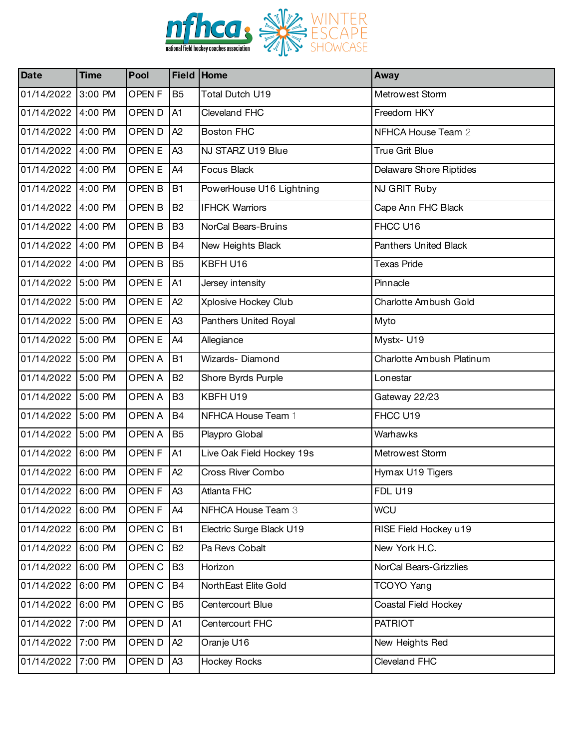

| <b>Date</b>        | <b>Time</b> | Pool              |                | Field Home                | Away                         |
|--------------------|-------------|-------------------|----------------|---------------------------|------------------------------|
| 01/14/2022         | 3:00 PM     | OPEN <sub>F</sub> | B <sub>5</sub> | Total Dutch U19           | Metrowest Storm              |
| 01/14/2022         | 4:00 PM     | OPEN D            | A1             | Cleveland FHC             | Freedom HKY                  |
| 01/14/2022         | 4:00 PM     | OPEN D            | A2             | <b>Boston FHC</b>         | NFHCA House Team 2           |
| 01/14/2022         | 4:00 PM     | OPEN E            | A <sub>3</sub> | NJ STARZ U19 Blue         | <b>True Grit Blue</b>        |
| 01/14/2022         | 4:00 PM     | OPEN E            | A4             | <b>Focus Black</b>        | Delaware Shore Riptides      |
| 01/14/2022         | 4:00 PM     | OPEN B            | <b>B1</b>      | PowerHouse U16 Lightning  | NJ GRIT Ruby                 |
| 01/14/2022         | 4:00 PM     | OPEN B            | <b>B2</b>      | <b>IFHCK Warriors</b>     | Cape Ann FHC Black           |
| 01/14/2022         | 4:00 PM     | OPEN B            | B <sub>3</sub> | NorCal Bears-Bruins       | FHCC U16                     |
| 01/14/2022         | 4:00 PM     | OPEN B            | <b>B4</b>      | New Heights Black         | <b>Panthers United Black</b> |
| 01/14/2022         | 4:00 PM     | OPEN B            | B <sub>5</sub> | KBFH U16                  | <b>Texas Pride</b>           |
| 01/14/2022         | 5:00 PM     | OPEN E            | A <sub>1</sub> | Jersey intensity          | Pinnacle                     |
| 01/14/2022 5:00 PM |             | OPEN E            | A2             | Xplosive Hockey Club      | Charlotte Ambush Gold        |
| 01/14/2022         | 5:00 PM     | OPEN E            | A <sub>3</sub> | Panthers United Royal     | Myto                         |
| 01/14/2022         | 5:00 PM     | OPEN E            | A4             | Allegiance                | Mystx-U19                    |
| 01/14/2022 5:00 PM |             | OPEN A            | <b>B1</b>      | Wizards-Diamond           | Charlotte Ambush Platinum    |
| 01/14/2022         | 5:00 PM     | <b>OPEN A</b>     | <b>B2</b>      | Shore Byrds Purple        | Lonestar                     |
| 01/14/2022         | 5:00 PM     | <b>OPEN A</b>     | B <sub>3</sub> | KBFH U19                  | Gateway 22/23                |
| 01/14/2022 5:00 PM |             | OPEN A            | <b>B4</b>      | NFHCA House Team 1        | FHCC U19                     |
| 01/14/2022         | 5:00 PM     | <b>OPEN A</b>     | B <sub>5</sub> | Playpro Global            | Warhawks                     |
| 01/14/2022         | 6:00 PM     | OPEN <sub>F</sub> | A <sub>1</sub> | Live Oak Field Hockey 19s | Metrowest Storm              |
| 01/14/2022 6:00 PM |             | OPEN <sub>F</sub> | A2             | Cross River Combo         | Hymax U19 Tigers             |
| 01/14/2022 6:00 PM |             | OPEN <sub>F</sub> | A3             | Atlanta FHC               | <b>FDL U19</b>               |
| 01/14/2022         | 6:00 PM     | OPEN <sub>F</sub> | A4             | NFHCA House Team 3        | <b>WCU</b>                   |
| 01/14/2022 6:00 PM |             | OPEN C            | <b>B1</b>      | Electric Surge Black U19  | RISE Field Hockey u19        |
| 01/14/2022         | 6:00 PM     | OPEN C            | <b>B2</b>      | Pa Revs Cobalt            | New York H.C.                |
| 01/14/2022 6:00 PM |             | OPEN C            | B <sub>3</sub> | Horizon                   | NorCal Bears-Grizzlies       |
| 01/14/2022         | 6:00 PM     | OPEN C            | <b>B4</b>      | NorthEast Elite Gold      | TCOYO Yang                   |
| 01/14/2022         | 6:00 PM     | OPEN C            | B <sub>5</sub> | Centercourt Blue          | Coastal Field Hockey         |
| 01/14/2022         | 7:00 PM     | OPEN D            | A1             | Centercourt FHC           | <b>PATRIOT</b>               |
| 01/14/2022 7:00 PM |             | OPEN D            | A2             | Oranje U16                | New Heights Red              |
| 01/14/2022         | 7:00 PM     | OPEN D            | A <sub>3</sub> | <b>Hockey Rocks</b>       | Cleveland FHC                |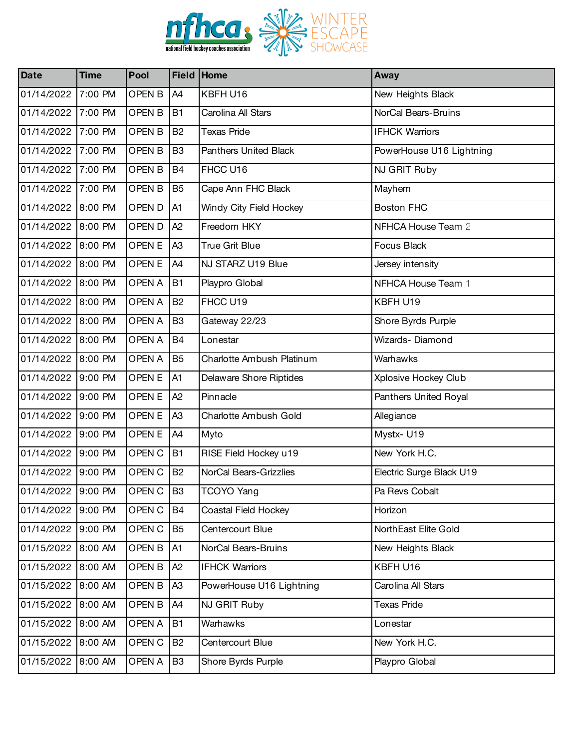

| <b>Date</b>        | <b>Time</b> | Pool          |                | Field Home                | Away                     |
|--------------------|-------------|---------------|----------------|---------------------------|--------------------------|
| 01/14/2022         | 7:00 PM     | OPEN B        | A4             | KBFH U16                  | New Heights Black        |
| 01/14/2022         | 7:00 PM     | OPEN B        | <b>B1</b>      | Carolina All Stars        | NorCal Bears-Bruins      |
| 01/14/2022 7:00 PM |             | OPEN B        | <b>B2</b>      | <b>Texas Pride</b>        | <b>IFHCK Warriors</b>    |
| 01/14/2022         | 7:00 PM     | OPEN B        | B <sub>3</sub> | Panthers United Black     | PowerHouse U16 Lightning |
| 01/14/2022         | 7:00 PM     | OPEN B        | <b>B4</b>      | FHCC U16                  | NJ GRIT Ruby             |
| 01/14/2022 7:00 PM |             | OPEN B        | B <sub>5</sub> | Cape Ann FHC Black        | Mayhem                   |
| 01/14/2022         | 8:00 PM     | OPEN D        | A1             | Windy City Field Hockey   | <b>Boston FHC</b>        |
| 01/14/2022         | 8:00 PM     | OPEN D        | A2             | Freedom HKY               | NFHCA House Team 2       |
| 01/14/2022 8:00 PM |             | OPEN E        | A <sub>3</sub> | <b>True Grit Blue</b>     | Focus Black              |
| 01/14/2022         | 8:00 PM     | OPEN E        | A4             | NJ STARZ U19 Blue         | Jersey intensity         |
| 01/14/2022 8:00 PM |             | <b>OPEN A</b> | <b>B1</b>      | Playpro Global            | NFHCA House Team 1       |
| 01/14/2022 8:00 PM |             | <b>OPEN A</b> | <b>B2</b>      | FHCC U19                  | KBFH U19                 |
| 01/14/2022         | 8:00 PM     | <b>OPEN A</b> | B <sub>3</sub> | Gateway 22/23             | Shore Byrds Purple       |
| 01/14/2022 8:00 PM |             | <b>OPEN A</b> | <b>B4</b>      | Lonestar                  | Wizards-Diamond          |
| 01/14/2022 8:00 PM |             | <b>OPEN A</b> | B <sub>5</sub> | Charlotte Ambush Platinum | Warhawks                 |
| 01/14/2022         | 9:00 PM     | OPEN E        | A1             | Delaware Shore Riptides   | Xplosive Hockey Club     |
| 01/14/2022         | 9:00 PM     | OPEN E        | A2             | Pinnacle                  | Panthers United Royal    |
| 01/14/2022 9:00 PM |             | OPEN E        | A <sub>3</sub> | Charlotte Ambush Gold     | Allegiance               |
| 01/14/2022         | 9:00 PM     | OPEN E        | A4             | Myto                      | Mystx-U19                |
| 01/14/2022         | 9:00 PM     | OPEN C        | <b>B1</b>      | RISE Field Hockey u19     | New York H.C.            |
| 01/14/2022 9:00 PM |             | OPEN C        | <b>B2</b>      | NorCal Bears-Grizzlies    | Electric Surge Black U19 |
| 01/14/2022 9:00 PM |             | OPEN C        | B <sub>3</sub> | TCOYO Yang                | Pa Revs Cobalt           |
| 01/14/2022         | 9:00 PM     | OPEN C        | B4             | Coastal Field Hockey      | Horizon                  |
| 01/14/2022         | 9:00 PM     | OPEN C        | B <sub>5</sub> | Centercourt Blue          | NorthEast Elite Gold     |
| 01/15/2022         | 8:00 AM     | OPEN B        | A1             | NorCal Bears-Bruins       | New Heights Black        |
| 01/15/2022         | 8:00 AM     | OPEN B        | A <sub>2</sub> | <b>IFHCK Warriors</b>     | KBFH U16                 |
| 01/15/2022         | 8:00 AM     | OPEN B        | A <sub>3</sub> | PowerHouse U16 Lightning  | Carolina All Stars       |
| 01/15/2022         | 8:00 AM     | OPEN B        | A4             | NJ GRIT Ruby              | <b>Texas Pride</b>       |
| 01/15/2022         | 8:00 AM     | OPEN A        | <b>B1</b>      | Warhawks                  | Lonestar                 |
| 01/15/2022         | 8:00 AM     | OPEN C        | <b>B2</b>      | Centercourt Blue          | New York H.C.            |
| 01/15/2022         | 8:00 AM     | OPEN A        | B <sub>3</sub> | Shore Byrds Purple        | Playpro Global           |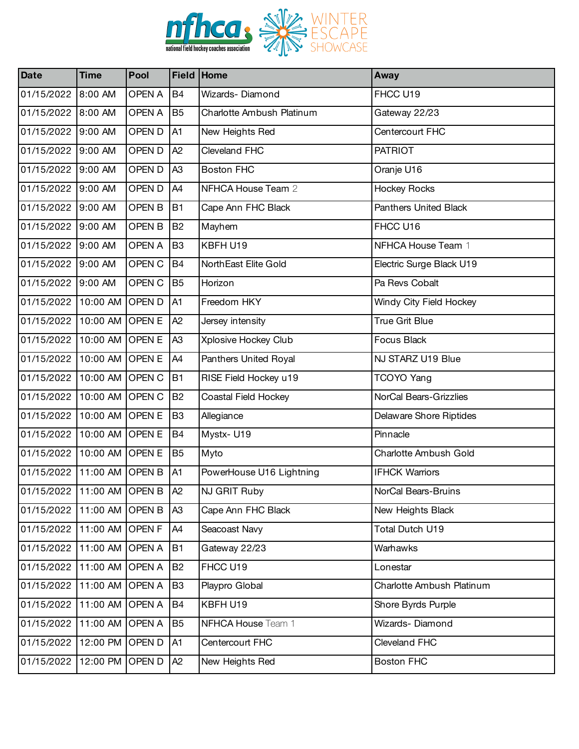

| <b>Date</b>                | <b>Time</b>     | Pool          |                | Field Home                | Away                      |
|----------------------------|-----------------|---------------|----------------|---------------------------|---------------------------|
| 01/15/2022                 | 8:00 AM         | <b>OPEN A</b> | <b>B4</b>      | Wizards-Diamond           | FHCC U19                  |
| 01/15/2022 8:00 AM         |                 | <b>OPEN A</b> | B <sub>5</sub> | Charlotte Ambush Platinum | Gateway 22/23             |
| 01/15/2022                 | 9:00 AM         | OPEN D        | A <sub>1</sub> | New Heights Red           | Centercourt FHC           |
| 01/15/2022                 | 9:00 AM         | OPEN D        | A <sub>2</sub> | Cleveland FHC             | <b>PATRIOT</b>            |
| 01/15/2022                 | 9:00 AM         | OPEN D        | A <sub>3</sub> | <b>Boston FHC</b>         | Oranje U16                |
| 01/15/2022 9:00 AM         |                 | OPEN D        | A4             | NFHCA House Team 2        | <b>Hockey Rocks</b>       |
| 01/15/2022                 | 9:00 AM         | OPEN B        | <b>B1</b>      | Cape Ann FHC Black        | Panthers United Black     |
| 01/15/2022                 | 9:00 AM         | OPEN B        | <b>B2</b>      | Mayhem                    | FHCC U16                  |
| 01/15/2022 9:00 AM         |                 | OPEN A        | B <sub>3</sub> | KBFH U19                  | NFHCA House Team 1        |
| 01/15/2022                 | 9:00 AM         | OPEN C        | <b>B4</b>      | NorthEast Elite Gold      | Electric Surge Black U19  |
| 01/15/2022                 | 9:00 AM         | OPEN C        | B <sub>5</sub> | Horizon                   | Pa Revs Cobalt            |
| 01/15/2022                 | 10:00 AM OPEN D |               | A <sub>1</sub> | Freedom HKY               | Windy City Field Hockey   |
| 01/15/2022                 | 10:00 AM OPEN E |               | A <sub>2</sub> | Jersey intensity          | <b>True Grit Blue</b>     |
| 01/15/2022                 | 10:00 AM OPEN E |               | A <sub>3</sub> | Xplosive Hockey Club      | Focus Black               |
| 01/15/2022                 | 10:00 AM OPEN E |               | A4             | Panthers United Royal     | NJ STARZ U19 Blue         |
| 01/15/2022                 | 10:00 AM OPEN C |               | <b>B1</b>      | RISE Field Hockey u19     | <b>TCOYO Yang</b>         |
| 01/15/2022                 | 10:00 AM OPEN C |               | <b>B2</b>      | Coastal Field Hockey      | NorCal Bears-Grizzlies    |
| 01/15/2022                 | 10:00 AM OPEN E |               | B <sub>3</sub> | Allegiance                | Delaware Shore Riptides   |
| 01/15/2022                 | 10:00 AM OPEN E |               | B <sub>4</sub> | Mystx-U19                 | Pinnacle                  |
| 01/15/2022                 | 10:00 AM OPEN E |               | B <sub>5</sub> | Myto                      | Charlotte Ambush Gold     |
| 01/15/2022                 | 11:00 AM OPEN B |               | A1             | PowerHouse U16 Lightning  | <b>IFHCK Warriors</b>     |
| 01/15/2022 11:00 AM OPEN B |                 |               | A2             | NJ GRIT Ruby              | NorCal Bears-Bruins       |
| 01/15/2022                 | 11:00 AM OPEN B |               | A <sub>3</sub> | Cape Ann FHC Black        | New Heights Black         |
| 01/15/2022                 | 11:00 AM OPEN F |               | A4             | Seacoast Navy             | Total Dutch U19           |
| 01/15/2022                 | 11:00 AM OPEN A |               | <b>B1</b>      | Gateway 22/23             | Warhawks                  |
| 01/15/2022                 | 11:00 AM OPEN A |               | <b>B2</b>      | FHCC U19                  | Lonestar                  |
| 01/15/2022                 | 11:00 AM OPEN A |               | B <sub>3</sub> | Playpro Global            | Charlotte Ambush Platinum |
| 01/15/2022                 | 11:00 AM OPEN A |               | <b>B4</b>      | KBFH U19                  | Shore Byrds Purple        |
| 01/15/2022                 | 11:00 AM OPEN A |               | B <sub>5</sub> | NFHCA House Team 1        | Wizards-Diamond           |
| 01/15/2022                 | 12:00 PM OPEN D |               | A <sub>1</sub> | Centercourt FHC           | Cleveland FHC             |
| 01/15/2022                 | 12:00 PM OPEN D |               | A2             | New Heights Red           | <b>Boston FHC</b>         |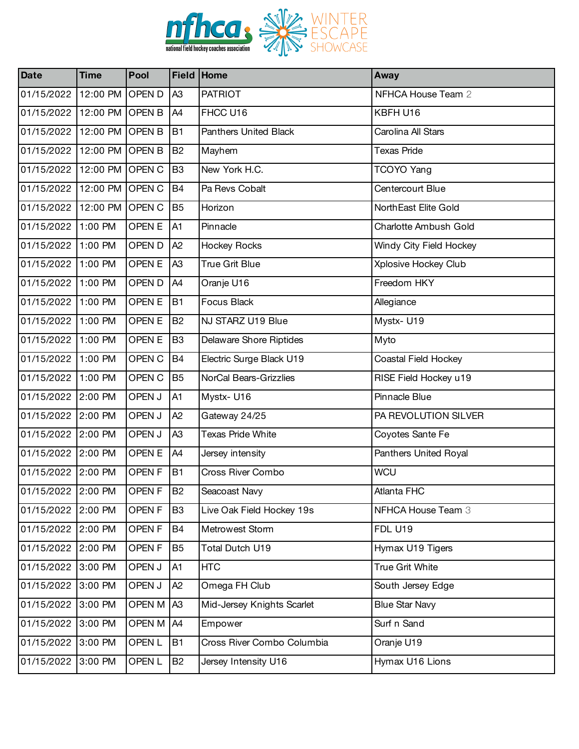

| <b>Date</b>        | <b>Time</b>     | Pool              |                | Field Home                 | <b>Away</b>             |
|--------------------|-----------------|-------------------|----------------|----------------------------|-------------------------|
| 01/15/2022         | 12:00 PM        | <b>OPEND</b>      | A <sub>3</sub> | <b>PATRIOT</b>             | NFHCA House Team 2      |
| 01/15/2022         | 12:00 PM OPEN B |                   | A4             | FHCC U16                   | KBFH U16                |
| 01/15/2022         | 12:00 PM OPEN B |                   | <b>B1</b>      | Panthers United Black      | Carolina All Stars      |
| 01/15/2022         | 12:00 PM        | <b>OPEN B</b>     | <b>B2</b>      | Mayhem                     | <b>Texas Pride</b>      |
| 01/15/2022         | 12:00 PM OPEN C |                   | B <sub>3</sub> | New York H.C.              | TCOYO Yang              |
| 01/15/2022         | 12:00 PM OPEN C |                   | <b>B4</b>      | Pa Revs Cobalt             | Centercourt Blue        |
| 01/15/2022         | 12:00 PM        | OPEN C            | B <sub>5</sub> | Horizon                    | NorthEast Elite Gold    |
| 01/15/2022         | 1:00 PM         | OPEN E            | A1             | Pinnacle                   | Charlotte Ambush Gold   |
| 01/15/2022 1:00 PM |                 | OPEN D            | A2             | <b>Hockey Rocks</b>        | Windy City Field Hockey |
| 01/15/2022         | 1:00 PM         | OPEN E            | A <sub>3</sub> | True Grit Blue             | Xplosive Hockey Club    |
| 01/15/2022         | 1:00 PM         | OPEN D            | A4             | Oranje U16                 | Freedom HKY             |
| 01/15/2022 1:00 PM |                 | OPEN E            | <b>B1</b>      | <b>Focus Black</b>         | Allegiance              |
| 01/15/2022         | 1:00 PM         | OPEN E            | <b>B2</b>      | NJ STARZ U19 Blue          | Mystx-U19               |
| 01/15/2022         | 1:00 PM         | OPEN E            | B <sub>3</sub> | Delaware Shore Riptides    | Myto                    |
| 01/15/2022 1:00 PM |                 | OPEN C            | <b>B4</b>      | Electric Surge Black U19   | Coastal Field Hockey    |
| 01/15/2022         | 1:00 PM         | OPEN C            | B <sub>5</sub> | NorCal Bears-Grizzlies     | RISE Field Hockey u19   |
| 01/15/2022 2:00 PM |                 | OPEN J            | A1             | Mystx-U16                  | Pinnacle Blue           |
| 01/15/2022 2:00 PM |                 | OPEN J            | A <sub>2</sub> | Gateway 24/25              | PA REVOLUTION SILVER    |
| 01/15/2022         | 2:00 PM         | OPEN J            | A <sub>3</sub> | <b>Texas Pride White</b>   | Coyotes Sante Fe        |
| 01/15/2022 2:00 PM |                 | OPEN E            | A4             | Jersey intensity           | Panthers United Royal   |
| 01/15/2022 2:00 PM |                 | OPEN <sub>F</sub> | <b>B1</b>      | Cross River Combo          | <b>WCU</b>              |
| 01/15/2022 2:00 PM |                 | OPEN <sub>F</sub> | B <sub>2</sub> | Seacoast Navy              | Atlanta FHC             |
| 01/15/2022 2:00 PM |                 | OPEN <sub>F</sub> | B <sub>3</sub> | Live Oak Field Hockey 19s  | NFHCA House Team 3      |
| 01/15/2022 2:00 PM |                 | OPEN <sub>F</sub> | B4             | Metrowest Storm            | <b>FDL U19</b>          |
| 01/15/2022         | 2:00 PM         | OPEN <sub>F</sub> | B <sub>5</sub> | Total Dutch U19            | Hymax U19 Tigers        |
| 01/15/2022         | 3:00 PM         | OPEN J            | A1             | <b>HTC</b>                 | True Grit White         |
| 01/15/2022         | 3:00 PM         | OPEN J            | A <sub>2</sub> | Omega FH Club              | South Jersey Edge       |
| 01/15/2022         | 3:00 PM         | OPEN M            | A <sub>3</sub> | Mid-Jersey Knights Scarlet | <b>Blue Star Navy</b>   |
| 01/15/2022         | 3:00 PM         | OPEN M            | A4             | Empower                    | Surf n Sand             |
| 01/15/2022         | 3:00 PM         | OPEN <sub>L</sub> | <b>B1</b>      | Cross River Combo Columbia | Oranje U19              |
| 01/15/2022         | 3:00 PM         | OPEN <sub>L</sub> | <b>B2</b>      | Jersey Intensity U16       | Hymax U16 Lions         |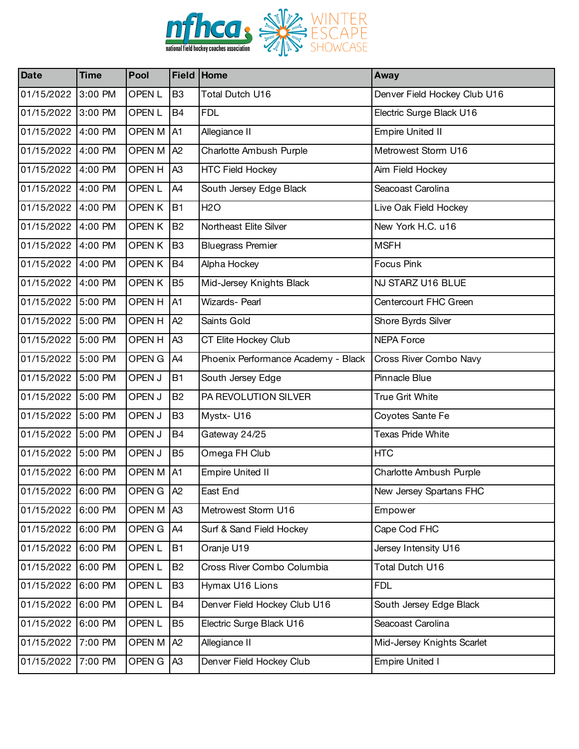

| <b>Date</b>        | <b>Time</b> | Pool              |                | Field Home                          | Away                         |
|--------------------|-------------|-------------------|----------------|-------------------------------------|------------------------------|
| 01/15/2022         | 3:00 PM     | OPEN <sub>L</sub> | B <sub>3</sub> | Total Dutch U16                     | Denver Field Hockey Club U16 |
| 01/15/2022         | 3:00 PM     | <b>OPENL</b>      | <b>B4</b>      | <b>FDL</b>                          | Electric Surge Black U16     |
| 01/15/2022 4:00 PM |             | OPEN M            | A <sub>1</sub> | Allegiance II                       | <b>Empire United II</b>      |
| 01/15/2022         | 4:00 PM     | OPEN M            | A2             | Charlotte Ambush Purple             | Metrowest Storm U16          |
| 01/15/2022 4:00 PM |             | OPEN H            | A <sub>3</sub> | <b>HTC Field Hockey</b>             | Aim Field Hockey             |
| 01/15/2022 4:00 PM |             | <b>OPENL</b>      | A4             | South Jersey Edge Black             | Seacoast Carolina            |
| 01/15/2022         | 4:00 PM     | <b>OPENK</b>      | <b>B1</b>      | <b>H2O</b>                          | Live Oak Field Hockey        |
| 01/15/2022 4:00 PM |             | OPEN K            | <b>B2</b>      | Northeast Elite Silver              | New York H.C. u16            |
| 01/15/2022 4:00 PM |             | OPEN K            | B <sub>3</sub> | <b>Bluegrass Premier</b>            | <b>MSFH</b>                  |
| 01/15/2022         | 4:00 PM     | <b>OPENK</b>      | <b>B4</b>      | Alpha Hockey                        | <b>Focus Pink</b>            |
| 01/15/2022         | 4:00 PM     | <b>OPENK</b>      | B <sub>5</sub> | Mid-Jersey Knights Black            | NJ STARZ U16 BLUE            |
| 01/15/2022 5:00 PM |             | OPEN H            | A <sub>1</sub> | Wizards- Pearl                      | Centercourt FHC Green        |
| 01/15/2022         | 5:00 PM     | OPEN H            | A <sub>2</sub> | Saints Gold                         | Shore Byrds Silver           |
| 01/15/2022         | 5:00 PM     | OPEN H            | A <sub>3</sub> | CT Elite Hockey Club                | <b>NEPA Force</b>            |
| 01/15/2022 5:00 PM |             | OPEN G            | A4             | Phoenix Performance Academy - Black | Cross River Combo Navy       |
| 01/15/2022         | 5:00 PM     | OPEN J            | <b>B1</b>      | South Jersey Edge                   | Pinnacle Blue                |
| 01/15/2022         | 5:00 PM     | OPEN J            | <b>B2</b>      | PA REVOLUTION SILVER                | True Grit White              |
| 01/15/2022 5:00 PM |             | OPEN J            | B <sub>3</sub> | Mystx-U16                           | Coyotes Sante Fe             |
| 01/15/2022         | 5:00 PM     | OPEN J            | <b>B4</b>      | Gateway 24/25                       | <b>Texas Pride White</b>     |
| 01/15/2022         | 5:00 PM     | OPEN J            | B <sub>5</sub> | Omega FH Club                       | <b>HTC</b>                   |
| 01/15/2022 6:00 PM |             | OPEN M A1         |                | <b>Empire United II</b>             | Charlotte Ambush Purple      |
| 01/15/2022 6:00 PM |             | OPEN G   A2       |                | East End                            | New Jersey Spartans FHC      |
| 01/15/2022         | 6:00 PM     | OPEN M            | A <sub>3</sub> | Metrowest Storm U16                 | Empower                      |
| 01/15/2022         | 6:00 PM     | OPEN G            | A4             | Surf & Sand Field Hockey            | Cape Cod FHC                 |
| 01/15/2022         | 6:00 PM     | OPEN <sub>L</sub> | <b>B1</b>      | Oranje U19                          | Jersey Intensity U16         |
| 01/15/2022         | 6:00 PM     | OPEN <sub>L</sub> | <b>B2</b>      | Cross River Combo Columbia          | Total Dutch U16              |
| 01/15/2022         | 6:00 PM     | OPEN <sub>L</sub> | B <sub>3</sub> | Hymax U16 Lions                     | <b>FDL</b>                   |
| 01/15/2022         | 6:00 PM     | OPEN <sub>L</sub> | <b>B4</b>      | Denver Field Hockey Club U16        | South Jersey Edge Black      |
| 01/15/2022         | 6:00 PM     | OPEN <sub>L</sub> | B <sub>5</sub> | Electric Surge Black U16            | Seacoast Carolina            |
| 01/15/2022         | 7:00 PM     | OPEN M            | A2             | Allegiance II                       | Mid-Jersey Knights Scarlet   |
| 01/15/2022         | 7:00 PM     | OPEN G            | A <sub>3</sub> | Denver Field Hockey Club            | <b>Empire United I</b>       |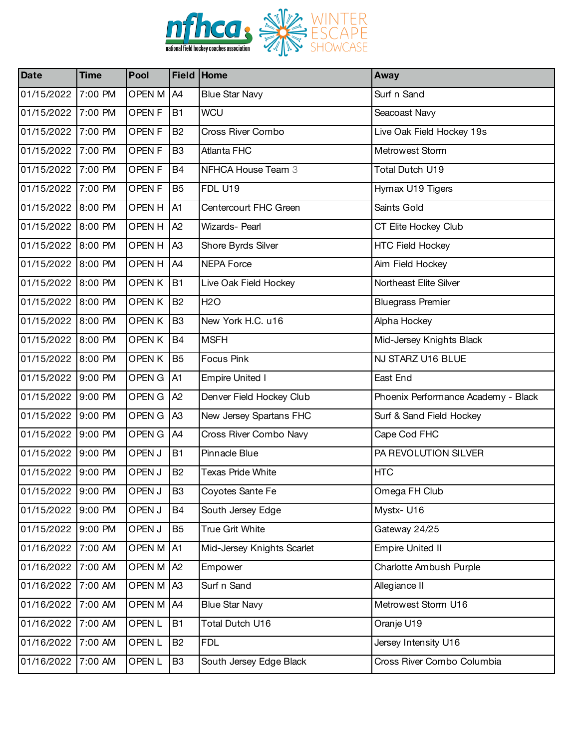

| <b>Date</b>        | <b>Time</b> | Pool              |                | Field Home                 | Away                                |
|--------------------|-------------|-------------------|----------------|----------------------------|-------------------------------------|
| 01/15/2022         | 7:00 PM     | OPEN M            | A <sub>4</sub> | <b>Blue Star Navy</b>      | Surf n Sand                         |
| 01/15/2022 7:00 PM |             | OPEN <sub>F</sub> | <b>B1</b>      | <b>WCU</b>                 | Seacoast Navy                       |
| 01/15/2022 7:00 PM |             | OPEN <sub>F</sub> | <b>B2</b>      | Cross River Combo          | Live Oak Field Hockey 19s           |
| 01/15/2022         | 7:00 PM     | <b>OPENF</b>      | B <sub>3</sub> | Atlanta FHC                | Metrowest Storm                     |
| 01/15/2022 7:00 PM |             | OPEN <sub>F</sub> | <b>B4</b>      | NFHCA House Team 3         | Total Dutch U19                     |
| 01/15/2022 7:00 PM |             | <b>OPENF</b>      | B <sub>5</sub> | FDL U19                    | Hymax U19 Tigers                    |
| 01/15/2022         | 8:00 PM     | OPEN H            | A1             | Centercourt FHC Green      | Saints Gold                         |
| 01/15/2022 8:00 PM |             | OPEN H            | A2             | Wizards- Pearl             | CT Elite Hockey Club                |
| 01/15/2022 8:00 PM |             | OPEN H            | A <sub>3</sub> | Shore Byrds Silver         | <b>HTC Field Hockey</b>             |
| 01/15/2022         | 8:00 PM     | OPEN H            | A4             | <b>NEPA Force</b>          | Aim Field Hockey                    |
| 01/15/2022 8:00 PM |             | <b>OPENK</b>      | <b>B1</b>      | Live Oak Field Hockey      | Northeast Elite Silver              |
| 01/15/2022 8:00 PM |             | <b>OPENK</b>      | <b>B2</b>      | <b>H2O</b>                 | <b>Bluegrass Premier</b>            |
| 01/15/2022         | 8:00 PM     | <b>OPENK</b>      | B <sub>3</sub> | New York H.C. u16          | Alpha Hockey                        |
| 01/15/2022 8:00 PM |             | <b>OPENK</b>      | <b>B4</b>      | <b>MSFH</b>                | Mid-Jersey Knights Black            |
| 01/15/2022 8:00 PM |             | OPEN K            | B <sub>5</sub> | <b>Focus Pink</b>          | NJ STARZ U16 BLUE                   |
| 01/15/2022         | 9:00 PM     | OPEN G            | A <sub>1</sub> | <b>Empire United I</b>     | East End                            |
| 01/15/2022 9:00 PM |             | OPEN G            | A2             | Denver Field Hockey Club   | Phoenix Performance Academy - Black |
| 01/15/2022 9:00 PM |             | OPEN G            | A <sub>3</sub> | New Jersey Spartans FHC    | Surf & Sand Field Hockey            |
| 01/15/2022         | 9:00 PM     | OPEN G            | A4             | Cross River Combo Navy     | Cape Cod FHC                        |
| 01/15/2022 9:00 PM |             | OPEN J            | <b>B1</b>      | Pinnacle Blue              | PA REVOLUTION SILVER                |
| 01/15/2022 9:00 PM |             | OPEN J            | <b>B2</b>      | <b>Texas Pride White</b>   | <b>HTC</b>                          |
| 01/15/2022 9:00 PM |             | OPEN J            | B <sub>3</sub> | Coyotes Sante Fe           | Omega FH Club                       |
| 01/15/2022         | 9:00 PM     | OPEN J            | B4             | South Jersey Edge          | Mystx-U16                           |
| 01/15/2022 9:00 PM |             | OPEN J            | B <sub>5</sub> | True Grit White            | Gateway 24/25                       |
| 01/16/2022         | 7:00 AM     | OPEN M            | A <sub>1</sub> | Mid-Jersey Knights Scarlet | <b>Empire United II</b>             |
| 01/16/2022         | 7:00 AM     | OPEN M            | A2             | Empower                    | Charlotte Ambush Purple             |
| 01/16/2022         | 7:00 AM     | OPEN M A3         |                | Surf n Sand                | Allegiance II                       |
| 01/16/2022         | 7:00 AM     | OPEN M            | A4             | <b>Blue Star Navy</b>      | Metrowest Storm U16                 |
| 01/16/2022         | 7:00 AM     | OPEN <sub>L</sub> | <b>B1</b>      | Total Dutch U16            | Oranje U19                          |
| 01/16/2022         | 7:00 AM     | OPEN <sub>L</sub> | <b>B2</b>      | <b>FDL</b>                 | Jersey Intensity U16                |
| 01/16/2022         | 7:00 AM     | OPEN <sub>L</sub> | B <sub>3</sub> | South Jersey Edge Black    | Cross River Combo Columbia          |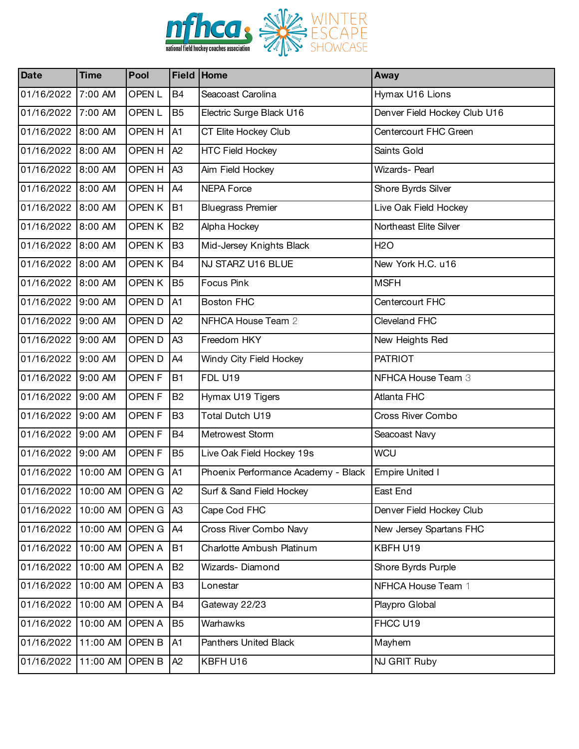

| <b>Date</b>                   | <b>Time</b>          | Pool              | Field Home     |                                     | Away                         |
|-------------------------------|----------------------|-------------------|----------------|-------------------------------------|------------------------------|
| 01/16/2022                    | 7:00 AM              | OPEN L            | <b>B4</b>      | Seacoast Carolina                   | Hymax U16 Lions              |
| 01/16/2022                    | 7:00 AM              | <b>OPENL</b>      | B <sub>5</sub> | Electric Surge Black U16            | Denver Field Hockey Club U16 |
| 01/16/2022                    | 8:00 AM              | <b>OPENH</b>      | A <sub>1</sub> | CT Elite Hockey Club                | Centercourt FHC Green        |
| 01/16/2022                    | 8:00 AM              | OPEN H            | A <sub>2</sub> | <b>HTC Field Hockey</b>             | Saints Gold                  |
| 01/16/2022                    | 8:00 AM              | <b>OPEN H</b>     | A <sub>3</sub> | Aim Field Hockey                    | <b>Wizards-Pearl</b>         |
| 01/16/2022 8:00 AM            |                      | OPEN H            | A4             | NEPA Force                          | Shore Byrds Silver           |
| 01/16/2022                    | 8:00 AM              | OPEN K            | <b>B1</b>      | <b>Bluegrass Premier</b>            | Live Oak Field Hockey        |
| 01/16/2022                    | 8:00 AM              | <b>OPENK</b>      | <b>B2</b>      | Alpha Hockey                        | Northeast Elite Silver       |
| 01/16/2022 8:00 AM            |                      | <b>OPENK</b>      | B <sub>3</sub> | Mid-Jersey Knights Black            | <b>H2O</b>                   |
| 01/16/2022                    | 8:00 AM              | OPEN K            | <b>B4</b>      | NJ STARZ U16 BLUE                   | New York H.C. u16            |
| 01/16/2022                    | 8:00 AM              | <b>OPENK</b>      | <b>B5</b>      | Focus Pink                          | <b>MSFH</b>                  |
| 01/16/2022                    | 9:00 AM              | OPEN D            | A <sub>1</sub> | <b>Boston FHC</b>                   | Centercourt FHC              |
| 01/16/2022                    | 9:00 AM              | OPEN D            | A <sub>2</sub> | NFHCA House Team 2                  | Cleveland FHC                |
| 01/16/2022                    | 9:00 AM              | OPEN D            | A <sub>3</sub> | Freedom HKY                         | New Heights Red              |
| 01/16/2022 9:00 AM            |                      | OPEN D            | A <sub>4</sub> | Windy City Field Hockey             | <b>PATRIOT</b>               |
| 01/16/2022                    | 9:00 AM              | OPEN <sub>F</sub> | <b>B1</b>      | FDL U19                             | NFHCA House Team 3           |
| 01/16/2022                    | 9:00 AM              | <b>OPENF</b>      | <b>B2</b>      | Hymax U19 Tigers                    | Atlanta FHC                  |
| 01/16/2022 9:00 AM            |                      | <b>OPENF</b>      | B <sub>3</sub> | Total Dutch U19                     | Cross River Combo            |
| 01/16/2022                    | 9:00 AM              | OPEN <sub>F</sub> | <b>B4</b>      | Metrowest Storm                     | Seacoast Navy                |
| 01/16/2022                    | 9:00 AM              | <b>OPENF</b>      | <b>B5</b>      | Live Oak Field Hockey 19s           | <b>WCU</b>                   |
| 01/16/2022                    | 10:00 AM OPEN G A1   |                   |                | Phoenix Performance Academy - Black | <b>Empire United I</b>       |
| 01/16/2022 10:00 AM OPEN G A2 |                      |                   |                | Surf & Sand Field Hockey            | East End                     |
| 01/16/2022                    | 10:00 AM OPEN G      |                   | A <sub>3</sub> | Cape Cod FHC                        | Denver Field Hockey Club     |
| 01/16/2022                    | 10:00 AM OPEN G   A4 |                   |                | Cross River Combo Navy              | New Jersey Spartans FHC      |
| 01/16/2022                    | 10:00 AM OPEN A      |                   | <b>B1</b>      | Charlotte Ambush Platinum           | KBFH U19                     |
| 01/16/2022                    | 10:00 AM OPEN A      |                   | <b>B2</b>      | Wizards-Diamond                     | Shore Byrds Purple           |
| 01/16/2022                    | 10:00 AM OPEN A      |                   | B <sub>3</sub> | Lonestar                            | NFHCA House Team 1           |
| 01/16/2022                    | 10:00 AM OPEN A      |                   | <b>B4</b>      | Gateway 22/23                       | Playpro Global               |
| 01/16/2022                    | 10:00 AM OPEN A      |                   | B <sub>5</sub> | Warhawks                            | FHCC U19                     |
| 01/16/2022                    | 11:00 AM OPEN B      |                   | A <sub>1</sub> | Panthers United Black               | Mayhem                       |
| 01/16/2022                    | 11:00 AM OPEN B      |                   | A2             | KBFH U16                            | NJ GRIT Ruby                 |